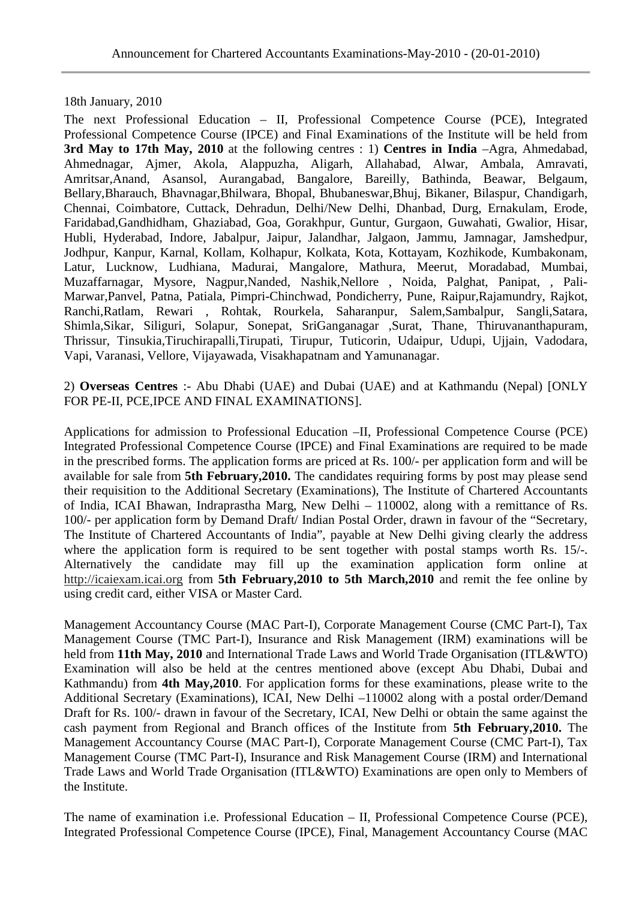18th January, 2010

The next Professional Education – II, Professional Competence Course (PCE), Integrated Professional Competence Course (IPCE) and Final Examinations of the Institute will be held from **3rd May to 17th May, 2010** at the following centres : 1) **Centres in India** –Agra, Ahmedabad, Ahmednagar, Ajmer, Akola, Alappuzha, Aligarh, Allahabad, Alwar, Ambala, Amravati, Amritsar,Anand, Asansol, Aurangabad, Bangalore, Bareilly, Bathinda, Beawar, Belgaum, Bellary,Bharauch, Bhavnagar,Bhilwara, Bhopal, Bhubaneswar,Bhuj, Bikaner, Bilaspur, Chandigarh, Chennai, Coimbatore, Cuttack, Dehradun, Delhi/New Delhi, Dhanbad, Durg, Ernakulam, Erode, Faridabad,Gandhidham, Ghaziabad, Goa, Gorakhpur, Guntur, Gurgaon, Guwahati, Gwalior, Hisar, Hubli, Hyderabad, Indore, Jabalpur, Jaipur, Jalandhar, Jalgaon, Jammu, Jamnagar, Jamshedpur, Jodhpur, Kanpur, Karnal, Kollam, Kolhapur, Kolkata, Kota, Kottayam, Kozhikode, Kumbakonam, Latur, Lucknow, Ludhiana, Madurai, Mangalore, Mathura, Meerut, Moradabad, Mumbai, Muzaffarnagar, Mysore, Nagpur,Nanded, Nashik,Nellore , Noida, Palghat, Panipat, , Pali-Marwar,Panvel, Patna, Patiala, Pimpri-Chinchwad, Pondicherry, Pune, Raipur,Rajamundry, Rajkot, Ranchi,Ratlam, Rewari , Rohtak, Rourkela, Saharanpur, Salem,Sambalpur, Sangli,Satara, Shimla,Sikar, Siliguri, Solapur, Sonepat, SriGanganagar ,Surat, Thane, Thiruvananthapuram, Thrissur, Tinsukia,Tiruchirapalli,Tirupati, Tirupur, Tuticorin, Udaipur, Udupi, Ujjain, Vadodara, Vapi, Varanasi, Vellore, Vijayawada, Visakhapatnam and Yamunanagar.

2) **Overseas Centres** :- Abu Dhabi (UAE) and Dubai (UAE) and at Kathmandu (Nepal) [ONLY FOR PE-II, PCE,IPCE AND FINAL EXAMINATIONS].

Applications for admission to Professional Education –II, Professional Competence Course (PCE) Integrated Professional Competence Course (IPCE) and Final Examinations are required to be made in the prescribed forms. The application forms are priced at Rs. 100/- per application form and will be available for sale from **5th February,2010.** The candidates requiring forms by post may please send their requisition to the Additional Secretary (Examinations), The Institute of Chartered Accountants of India, ICAI Bhawan, Indraprastha Marg, New Delhi – 110002, along with a remittance of Rs. 100/- per application form by Demand Draft/ Indian Postal Order, drawn in favour of the "Secretary, The Institute of Chartered Accountants of India", payable at New Delhi giving clearly the address where the application form is required to be sent together with postal stamps worth Rs. 15/-. Alternatively the candidate may fill up the examination application form online at http://icaiexam.icai.org from **5th February,2010 to 5th March,2010** and remit the fee online by using credit card, either VISA or Master Card.

Management Accountancy Course (MAC Part-I), Corporate Management Course (CMC Part-I), Tax Management Course (TMC Part-I), Insurance and Risk Management (IRM) examinations will be held from **11th May, 2010** and International Trade Laws and World Trade Organisation (ITL&WTO) Examination will also be held at the centres mentioned above (except Abu Dhabi, Dubai and Kathmandu) from **4th May,2010**. For application forms for these examinations, please write to the Additional Secretary (Examinations), ICAI, New Delhi –110002 along with a postal order/Demand Draft for Rs. 100/- drawn in favour of the Secretary, ICAI, New Delhi or obtain the same against the cash payment from Regional and Branch offices of the Institute from **5th February,2010.** The Management Accountancy Course (MAC Part-I), Corporate Management Course (CMC Part-I), Tax Management Course (TMC Part-I), Insurance and Risk Management Course (IRM) and International Trade Laws and World Trade Organisation (ITL&WTO) Examinations are open only to Members of the Institute.

The name of examination i.e. Professional Education – II, Professional Competence Course (PCE), Integrated Professional Competence Course (IPCE), Final, Management Accountancy Course (MAC